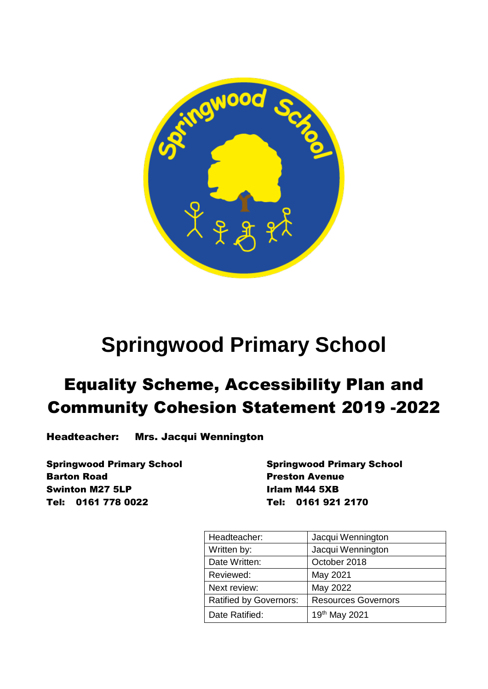

# **Springwood Primary School**

## Equality Scheme, Accessibility Plan and Community Cohesion Statement 2019 -2022

Headteacher: Mrs. Jacqui Wennington

Springwood Primary School Springwood Primary School **Barton Road** Preston Avenue Swinton M27 5LP Irlam M44 5XB Tel: 0161 778 0022 Tel: 0161 921 2170

| Headteacher:                  | Jacqui Wennington          |
|-------------------------------|----------------------------|
| Written by:                   | Jacqui Wennington          |
| Date Written:                 | October 2018               |
| Reviewed:                     | May 2021                   |
| Next review:                  | May 2022                   |
| <b>Ratified by Governors:</b> | <b>Resources Governors</b> |
| Date Ratified:                | 19th May 2021              |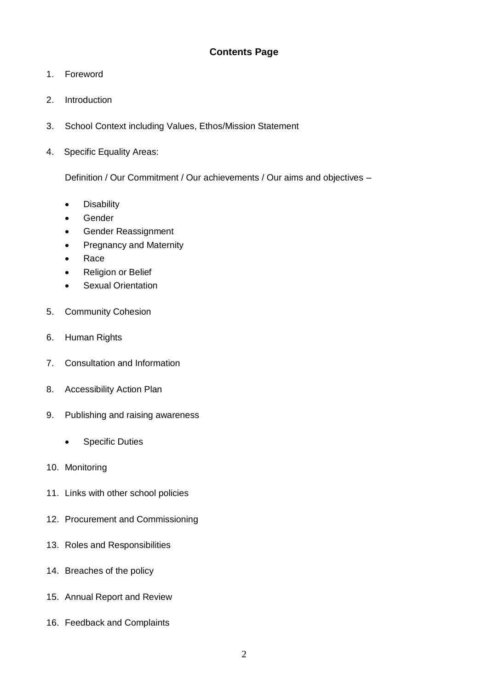- 1. Foreword
- 2. Introduction
- 3. School Context including Values, Ethos/Mission Statement
- 4. Specific Equality Areas:

Definition / Our Commitment / Our achievements / Our aims and objectives –

- **•** Disability
- Gender
- **•** Gender Reassignment
- Pregnancy and Maternity
- Race
- Religion or Belief
- **•** Sexual Orientation
- 5. Community Cohesion
- 6. Human Rights
- 7. Consultation and Information
- 8. Accessibility Action Plan
- 9. Publishing and raising awareness
	- Specific Duties
- 10. Monitoring
- 11. Links with other school policies
- 12. Procurement and Commissioning
- 13. Roles and Responsibilities
- 14. Breaches of the policy
- 15. Annual Report and Review
- 16. Feedback and Complaints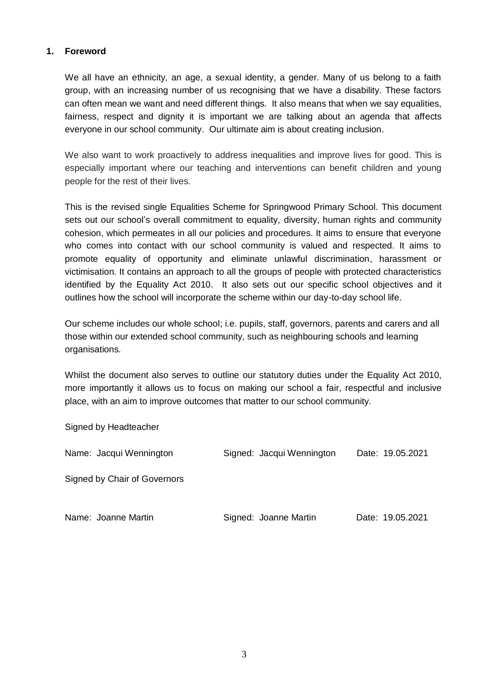#### **1. Foreword**

We all have an ethnicity, an age, a sexual identity, a gender. Many of us belong to a faith group, with an increasing number of us recognising that we have a disability. These factors can often mean we want and need different things. It also means that when we say equalities, fairness, respect and dignity it is important we are talking about an agenda that affects everyone in our school community. Our ultimate aim is about creating inclusion.

We also want to work proactively to address inequalities and improve lives for good. This is especially important where our teaching and interventions can benefit children and young people for the rest of their lives.

This is the revised single Equalities Scheme for Springwood Primary School. This document sets out our school's overall commitment to equality, diversity, human rights and community cohesion, which permeates in all our policies and procedures. It aims to ensure that everyone who comes into contact with our school community is valued and respected. It aims to promote equality of opportunity and eliminate unlawful discrimination, harassment or victimisation. It contains an approach to all the groups of people with protected characteristics identified by the Equality Act 2010. It also sets out our specific school objectives and it outlines how the school will incorporate the scheme within our day-to-day school life.

Our scheme includes our whole school; i.e. pupils, staff, governors, parents and carers and all those within our extended school community, such as neighbouring schools and learning organisations.

Whilst the document also serves to outline our statutory duties under the Equality Act 2010, more importantly it allows us to focus on making our school a fair, respectful and inclusive place, with an aim to improve outcomes that matter to our school community.

Signed by Headteacher

| Name: Jacqui Wennington      | Signed: Jacqui Wennington | Date: 19.05.2021 |
|------------------------------|---------------------------|------------------|
| Signed by Chair of Governors |                           |                  |
| Name: Joanne Martin          | Signed: Joanne Martin     | Date: 19.05.2021 |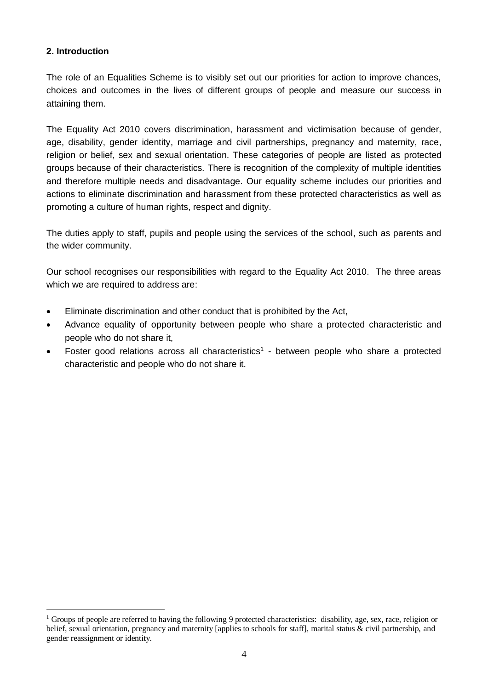## **2. Introduction**

<u>.</u>

The role of an Equalities Scheme is to visibly set out our priorities for action to improve chances, choices and outcomes in the lives of different groups of people and measure our success in attaining them.

The Equality Act 2010 covers discrimination, harassment and victimisation because of gender, age, disability, gender identity, marriage and civil partnerships, pregnancy and maternity, race, religion or belief, sex and sexual orientation. These categories of people are listed as protected groups because of their characteristics. There is recognition of the complexity of multiple identities and therefore multiple needs and disadvantage. Our equality scheme includes our priorities and actions to eliminate discrimination and harassment from these protected characteristics as well as promoting a culture of human rights, respect and dignity.

The duties apply to staff, pupils and people using the services of the school, such as parents and the wider community.

Our school recognises our responsibilities with regard to the Equality Act 2010. The three areas which we are required to address are:

- Eliminate discrimination and other conduct that is prohibited by the Act,
- Advance equality of opportunity between people who share a protected characteristic and people who do not share it,
- Foster good relations across all characteristics<sup>1</sup> between people who share a protected characteristic and people who do not share it.

<sup>&</sup>lt;sup>1</sup> Groups of people are referred to having the following 9 protected characteristics: disability, age, sex, race, religion or belief, sexual orientation, pregnancy and maternity [applies to schools for staff], marital status & civil partnership, and gender reassignment or identity.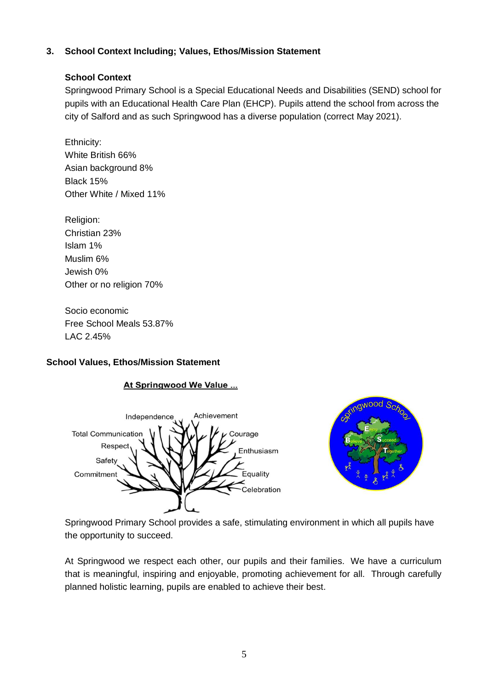## **3. School Context Including; Values, Ethos/Mission Statement**

## **School Context**

Springwood Primary School is a Special Educational Needs and Disabilities (SEND) school for pupils with an Educational Health Care Plan (EHCP). Pupils attend the school from across the city of Salford and as such Springwood has a diverse population (correct May 2021).

Ethnicity: White British 66% Asian background 8% Black 15% Other White / Mixed 11%

Religion: Christian 23% Islam 1% Muslim 6% Jewish 0% Other or no religion 70%

Socio economic Free School Meals 53.87% LAC 2.45%

## **School Values, Ethos/Mission Statement**





Springwood Primary School provides a safe, stimulating environment in which all pupils have the opportunity to succeed.

At Springwood we respect each other, our pupils and their families. We have a curriculum that is meaningful, inspiring and enjoyable, promoting achievement for all. Through carefully planned holistic learning, pupils are enabled to achieve their best.

## At Springwood We Value ...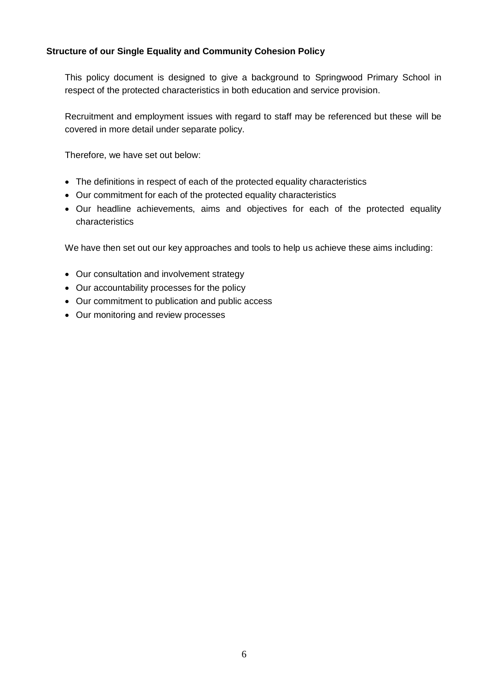#### **Structure of our Single Equality and Community Cohesion Policy**

This policy document is designed to give a background to Springwood Primary School in respect of the protected characteristics in both education and service provision.

Recruitment and employment issues with regard to staff may be referenced but these will be covered in more detail under separate policy.

Therefore, we have set out below:

- The definitions in respect of each of the protected equality characteristics
- Our commitment for each of the protected equality characteristics
- Our headline achievements, aims and objectives for each of the protected equality characteristics

We have then set out our key approaches and tools to help us achieve these aims including:

- Our consultation and involvement strategy
- Our accountability processes for the policy
- Our commitment to publication and public access
- Our monitoring and review processes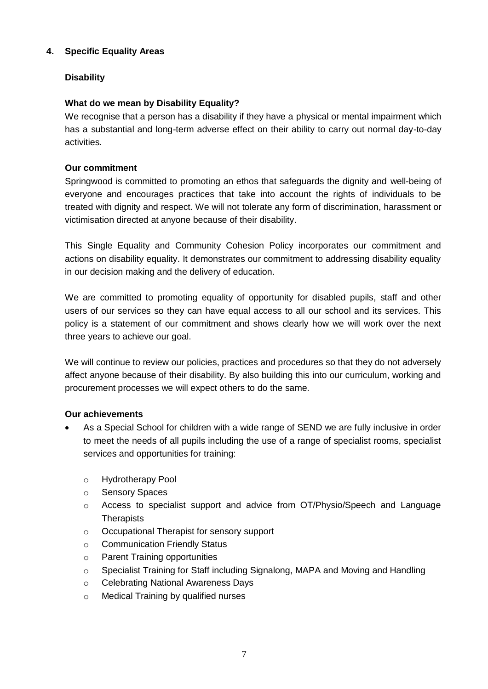## **4. Specific Equality Areas**

## **Disability**

## **What do we mean by Disability Equality?**

We recognise that a person has a disability if they have a physical or mental impairment which has a substantial and long-term adverse effect on their ability to carry out normal day-to-day activities.

#### **Our commitment**

Springwood is committed to promoting an ethos that safeguards the dignity and well-being of everyone and encourages practices that take into account the rights of individuals to be treated with dignity and respect. We will not tolerate any form of discrimination, harassment or victimisation directed at anyone because of their disability.

This Single Equality and Community Cohesion Policy incorporates our commitment and actions on disability equality. It demonstrates our commitment to addressing disability equality in our decision making and the delivery of education.

We are committed to promoting equality of opportunity for disabled pupils, staff and other users of our services so they can have equal access to all our school and its services. This policy is a statement of our commitment and shows clearly how we will work over the next three years to achieve our goal.

We will continue to review our policies, practices and procedures so that they do not adversely affect anyone because of their disability. By also building this into our curriculum, working and procurement processes we will expect others to do the same.

#### **Our achievements**

- As a Special School for children with a wide range of SEND we are fully inclusive in order to meet the needs of all pupils including the use of a range of specialist rooms, specialist services and opportunities for training:
	- o Hydrotherapy Pool
	- o Sensory Spaces
	- o Access to specialist support and advice from OT/Physio/Speech and Language **Therapists**
	- o Occupational Therapist for sensory support
	- o Communication Friendly Status
	- o Parent Training opportunities
	- $\circ$  Specialist Training for Staff including Signalong, MAPA and Moving and Handling
	- o Celebrating National Awareness Days
	- o Medical Training by qualified nurses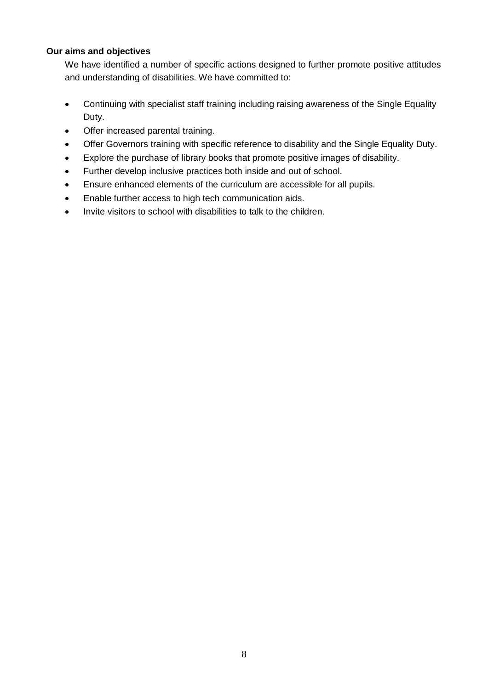#### **Our aims and objectives**

We have identified a number of specific actions designed to further promote positive attitudes and understanding of disabilities. We have committed to:

- Continuing with specialist staff training including raising awareness of the Single Equality Duty.
- Offer increased parental training.
- Offer Governors training with specific reference to disability and the Single Equality Duty.
- Explore the purchase of library books that promote positive images of disability.
- Further develop inclusive practices both inside and out of school.
- Ensure enhanced elements of the curriculum are accessible for all pupils.
- Enable further access to high tech communication aids.
- Invite visitors to school with disabilities to talk to the children.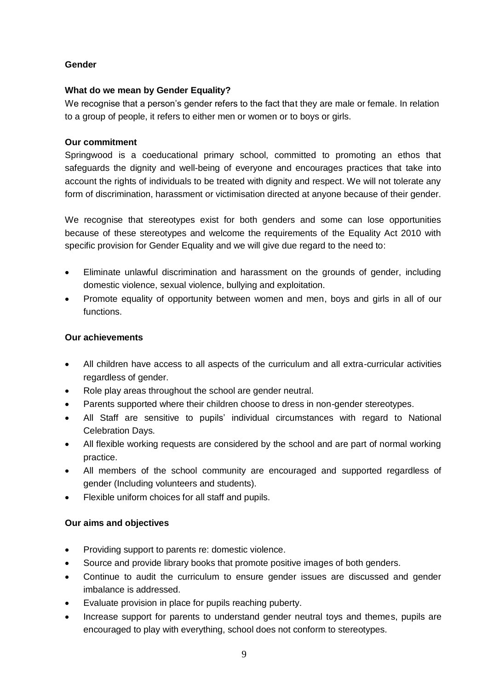#### **Gender**

#### **What do we mean by Gender Equality?**

We recognise that a person's gender refers to the fact that they are male or female. In relation to a group of people, it refers to either men or women or to boys or girls.

#### **Our commitment**

Springwood is a coeducational primary school, committed to promoting an ethos that safeguards the dignity and well-being of everyone and encourages practices that take into account the rights of individuals to be treated with dignity and respect. We will not tolerate any form of discrimination, harassment or victimisation directed at anyone because of their gender.

We recognise that stereotypes exist for both genders and some can lose opportunities because of these stereotypes and welcome the requirements of the Equality Act 2010 with specific provision for Gender Equality and we will give due regard to the need to:

- Eliminate unlawful discrimination and harassment on the grounds of gender, including domestic violence, sexual violence, bullying and exploitation.
- Promote equality of opportunity between women and men, boys and girls in all of our functions.

#### **Our achievements**

- All children have access to all aspects of the curriculum and all extra-curricular activities regardless of gender.
- Role play areas throughout the school are gender neutral.
- Parents supported where their children choose to dress in non-gender stereotypes.
- All Staff are sensitive to pupils' individual circumstances with regard to National Celebration Days.
- All flexible working requests are considered by the school and are part of normal working practice.
- All members of the school community are encouraged and supported regardless of gender (Including volunteers and students).
- Flexible uniform choices for all staff and pupils.

#### **Our aims and objectives**

- Providing support to parents re: domestic violence.
- Source and provide library books that promote positive images of both genders.
- Continue to audit the curriculum to ensure gender issues are discussed and gender imbalance is addressed.
- Evaluate provision in place for pupils reaching puberty.
- Increase support for parents to understand gender neutral toys and themes, pupils are encouraged to play with everything, school does not conform to stereotypes.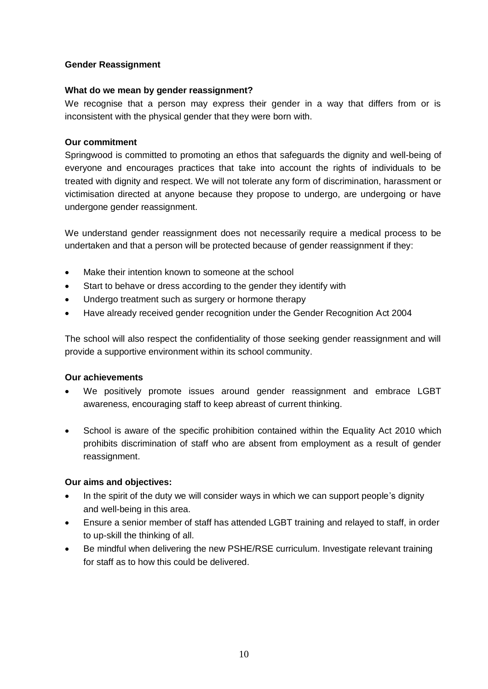#### **Gender Reassignment**

#### **What do we mean by gender reassignment?**

We recognise that a person may express their gender in a way that differs from or is inconsistent with the physical gender that they were born with.

#### **Our commitment**

Springwood is committed to promoting an ethos that safeguards the dignity and well-being of everyone and encourages practices that take into account the rights of individuals to be treated with dignity and respect. We will not tolerate any form of discrimination, harassment or victimisation directed at anyone because they propose to undergo, are undergoing or have undergone gender reassignment.

We understand gender reassignment does not necessarily require a medical process to be undertaken and that a person will be protected because of gender reassignment if they:

- Make their intention known to someone at the school
- Start to behave or dress according to the gender they identify with
- Undergo treatment such as surgery or hormone therapy
- Have already received gender recognition under the Gender Recognition Act 2004

The school will also respect the confidentiality of those seeking gender reassignment and will provide a supportive environment within its school community.

#### **Our achievements**

- We positively promote issues around gender reassignment and embrace LGBT awareness, encouraging staff to keep abreast of current thinking.
- School is aware of the specific prohibition contained within the Equality Act 2010 which prohibits discrimination of staff who are absent from employment as a result of gender reassignment.

#### **Our aims and objectives:**

- In the spirit of the duty we will consider ways in which we can support people's dignity and well-being in this area.
- Ensure a senior member of staff has attended LGBT training and relayed to staff, in order to up-skill the thinking of all.
- Be mindful when delivering the new PSHE/RSE curriculum. Investigate relevant training for staff as to how this could be delivered.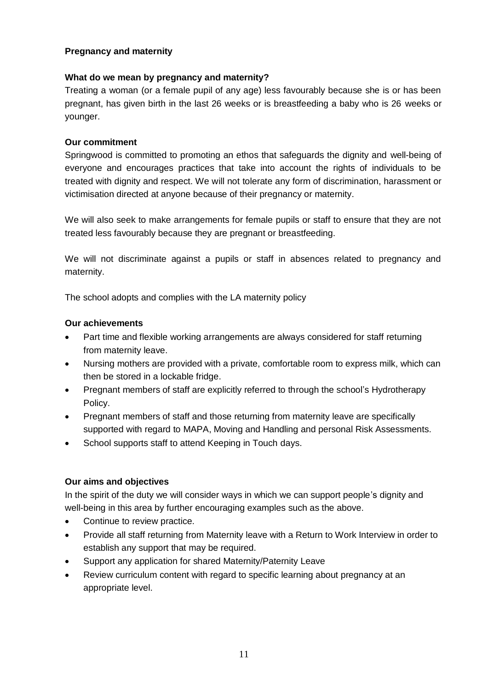#### **Pregnancy and maternity**

#### **What do we mean by pregnancy and maternity?**

Treating a woman (or a female pupil of any age) less favourably because she is or has been pregnant, has given birth in the last 26 weeks or is breastfeeding a baby who is 26 weeks or younger.

#### **Our commitment**

Springwood is committed to promoting an ethos that safeguards the dignity and well-being of everyone and encourages practices that take into account the rights of individuals to be treated with dignity and respect. We will not tolerate any form of discrimination, harassment or victimisation directed at anyone because of their pregnancy or maternity.

We will also seek to make arrangements for female pupils or staff to ensure that they are not treated less favourably because they are pregnant or breastfeeding.

We will not discriminate against a pupils or staff in absences related to pregnancy and maternity.

The school adopts and complies with the LA maternity policy

#### **Our achievements**

- Part time and flexible working arrangements are always considered for staff returning from maternity leave.
- Nursing mothers are provided with a private, comfortable room to express milk, which can then be stored in a lockable fridge.
- Pregnant members of staff are explicitly referred to through the school's Hydrotherapy Policy.
- Pregnant members of staff and those returning from maternity leave are specifically supported with regard to MAPA, Moving and Handling and personal Risk Assessments.
- School supports staff to attend Keeping in Touch days.

#### **Our aims and objectives**

In the spirit of the duty we will consider ways in which we can support people's dignity and well-being in this area by further encouraging examples such as the above.

- Continue to review practice.
- Provide all staff returning from Maternity leave with a Return to Work Interview in order to establish any support that may be required.
- Support any application for shared Maternity/Paternity Leave
- Review curriculum content with regard to specific learning about pregnancy at an appropriate level.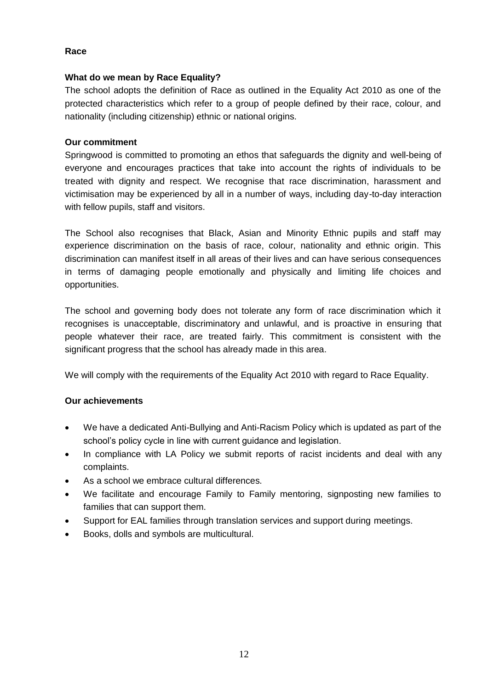#### **Race**

#### **What do we mean by Race Equality?**

The school adopts the definition of Race as outlined in the Equality Act 2010 as one of the protected characteristics which refer to a group of people defined by their race, colour, and nationality (including citizenship) ethnic or national origins.

#### **Our commitment**

Springwood is committed to promoting an ethos that safeguards the dignity and well-being of everyone and encourages practices that take into account the rights of individuals to be treated with dignity and respect. We recognise that race discrimination, harassment and victimisation may be experienced by all in a number of ways, including day-to-day interaction with fellow pupils, staff and visitors.

The School also recognises that Black, Asian and Minority Ethnic pupils and staff may experience discrimination on the basis of race, colour, nationality and ethnic origin. This discrimination can manifest itself in all areas of their lives and can have serious consequences in terms of damaging people emotionally and physically and limiting life choices and opportunities.

The school and governing body does not tolerate any form of race discrimination which it recognises is unacceptable, discriminatory and unlawful, and is proactive in ensuring that people whatever their race, are treated fairly. This commitment is consistent with the significant progress that the school has already made in this area.

We will comply with the requirements of the Equality Act 2010 with regard to Race Equality.

#### **Our achievements**

- We have a dedicated Anti-Bullying and Anti-Racism Policy which is updated as part of the school's policy cycle in line with current guidance and legislation.
- In compliance with LA Policy we submit reports of racist incidents and deal with any complaints.
- As a school we embrace cultural differences.
- We facilitate and encourage Family to Family mentoring, signposting new families to families that can support them.
- Support for EAL families through translation services and support during meetings.
- Books, dolls and symbols are multicultural.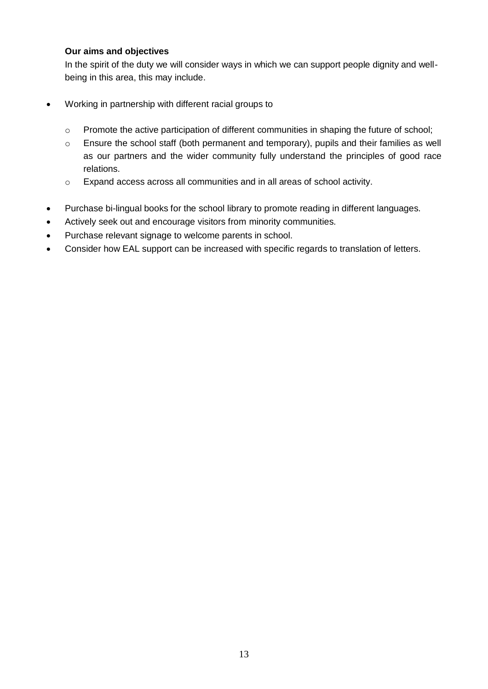#### **Our aims and objectives**

In the spirit of the duty we will consider ways in which we can support people dignity and wellbeing in this area, this may include.

- Working in partnership with different racial groups to
	- o Promote the active participation of different communities in shaping the future of school;
	- o Ensure the school staff (both permanent and temporary), pupils and their families as well as our partners and the wider community fully understand the principles of good race relations.
	- o Expand access across all communities and in all areas of school activity.
- Purchase bi-lingual books for the school library to promote reading in different languages.
- Actively seek out and encourage visitors from minority communities.
- Purchase relevant signage to welcome parents in school.
- Consider how EAL support can be increased with specific regards to translation of letters.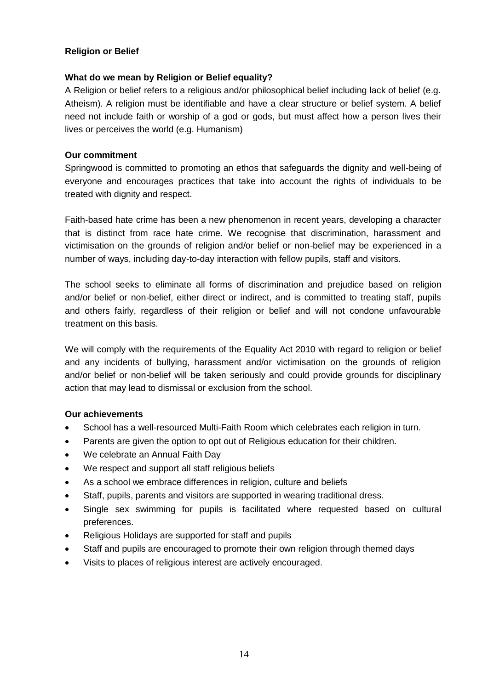#### **Religion or Belief**

#### **What do we mean by Religion or Belief equality?**

A Religion or belief refers to a religious and/or philosophical belief including lack of belief (e.g. Atheism). A religion must be identifiable and have a clear structure or belief system. A belief need not include faith or worship of a god or gods, but must affect how a person lives their lives or perceives the world (e.g. Humanism)

#### **Our commitment**

Springwood is committed to promoting an ethos that safeguards the dignity and well-being of everyone and encourages practices that take into account the rights of individuals to be treated with dignity and respect.

Faith-based hate crime has been a new phenomenon in recent years, developing a character that is distinct from race hate crime. We recognise that discrimination, harassment and victimisation on the grounds of religion and/or belief or non-belief may be experienced in a number of ways, including day-to-day interaction with fellow pupils, staff and visitors.

The school seeks to eliminate all forms of discrimination and prejudice based on religion and/or belief or non-belief, either direct or indirect, and is committed to treating staff, pupils and others fairly, regardless of their religion or belief and will not condone unfavourable treatment on this basis.

We will comply with the requirements of the Equality Act 2010 with regard to religion or belief and any incidents of bullying, harassment and/or victimisation on the grounds of religion and/or belief or non-belief will be taken seriously and could provide grounds for disciplinary action that may lead to dismissal or exclusion from the school.

#### **Our achievements**

- School has a well-resourced Multi-Faith Room which celebrates each religion in turn.
- Parents are given the option to opt out of Religious education for their children.
- We celebrate an Annual Faith Day
- We respect and support all staff religious beliefs
- As a school we embrace differences in religion, culture and beliefs
- Staff, pupils, parents and visitors are supported in wearing traditional dress.
- Single sex swimming for pupils is facilitated where requested based on cultural preferences.
- Religious Holidays are supported for staff and pupils
- Staff and pupils are encouraged to promote their own religion through themed days
- Visits to places of religious interest are actively encouraged.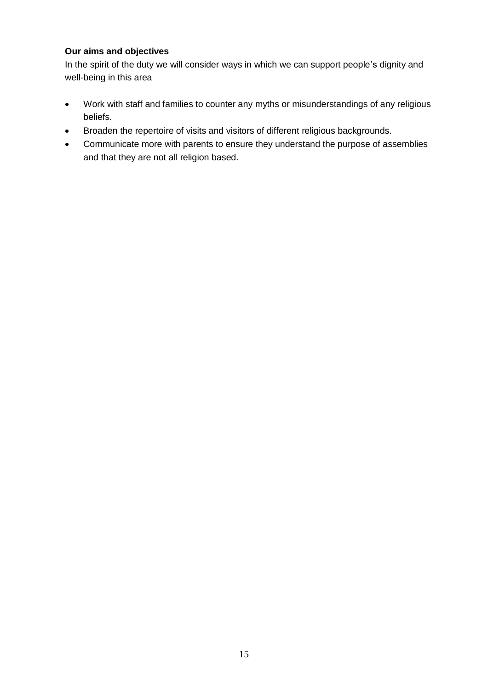#### **Our aims and objectives**

In the spirit of the duty we will consider ways in which we can support people's dignity and well-being in this area

- Work with staff and families to counter any myths or misunderstandings of any religious beliefs.
- Broaden the repertoire of visits and visitors of different religious backgrounds.
- Communicate more with parents to ensure they understand the purpose of assemblies and that they are not all religion based.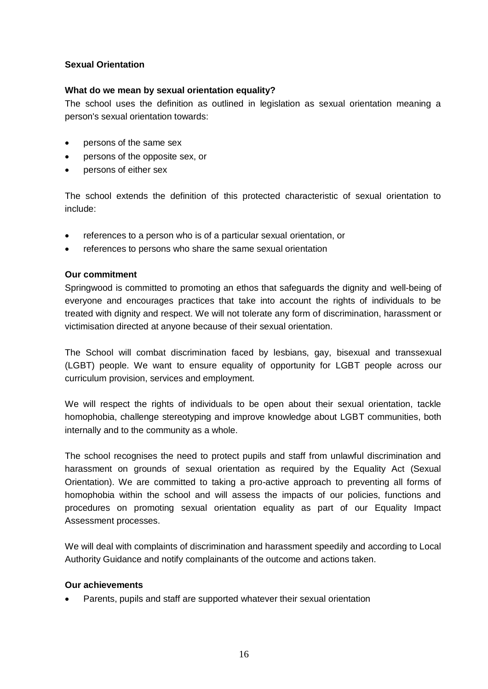#### **Sexual Orientation**

#### **What do we mean by sexual orientation equality?**

The school uses the definition as outlined in legislation as sexual orientation meaning a person's sexual orientation towards:

- persons of the same sex
- persons of the opposite sex, or
- persons of either sex

The school extends the definition of this protected characteristic of sexual orientation to include:

- references to a person who is of a particular sexual orientation, or
- references to persons who share the same sexual orientation

#### **Our commitment**

Springwood is committed to promoting an ethos that safeguards the dignity and well-being of everyone and encourages practices that take into account the rights of individuals to be treated with dignity and respect. We will not tolerate any form of discrimination, harassment or victimisation directed at anyone because of their sexual orientation.

The School will combat discrimination faced by lesbians, gay, bisexual and transsexual (LGBT) people. We want to ensure equality of opportunity for LGBT people across our curriculum provision, services and employment.

We will respect the rights of individuals to be open about their sexual orientation, tackle homophobia, challenge stereotyping and improve knowledge about LGBT communities, both internally and to the community as a whole.

The school recognises the need to protect pupils and staff from unlawful discrimination and harassment on grounds of sexual orientation as required by the Equality Act (Sexual Orientation). We are committed to taking a pro-active approach to preventing all forms of homophobia within the school and will assess the impacts of our policies, functions and procedures on promoting sexual orientation equality as part of our Equality Impact Assessment processes.

We will deal with complaints of discrimination and harassment speedily and according to Local Authority Guidance and notify complainants of the outcome and actions taken.

#### **Our achievements**

Parents, pupils and staff are supported whatever their sexual orientation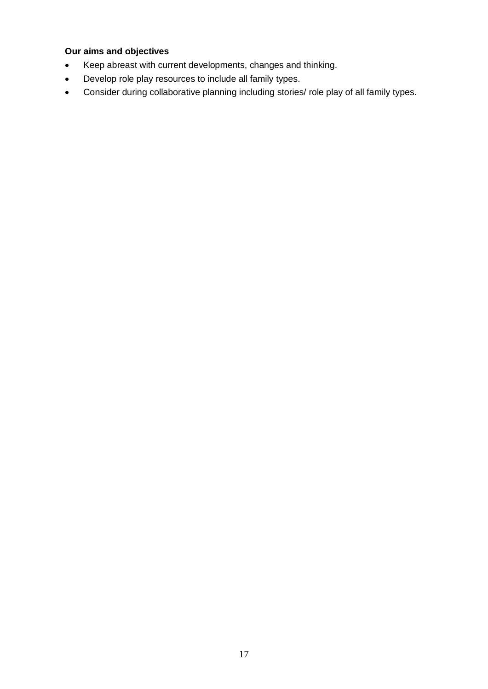## **Our aims and objectives**

- Keep abreast with current developments, changes and thinking.
- Develop role play resources to include all family types.
- Consider during collaborative planning including stories/ role play of all family types.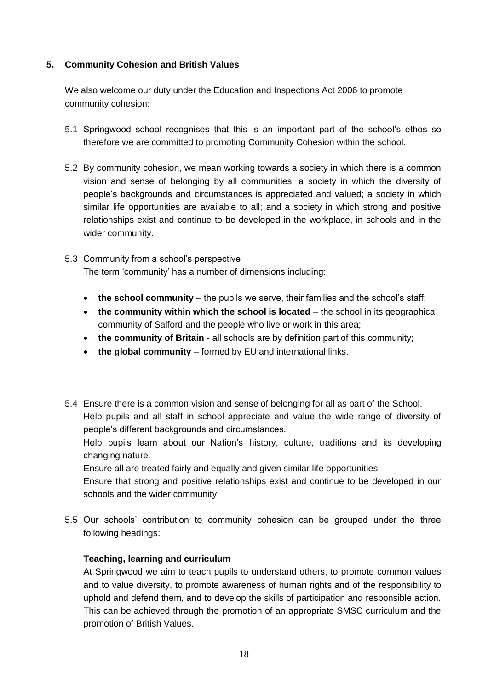#### **5. Community Cohesion and British Values**

We also welcome our duty under the Education and Inspections Act 2006 to promote community cohesion:

- 5.1 Springwood school recognises that this is an important part of the school's ethos so therefore we are committed to promoting Community Cohesion within the school.
- 5.2 By community cohesion, we mean working towards a society in which there is a common vision and sense of belonging by all communities; a society in which the diversity of people's backgrounds and circumstances is appreciated and valued; a society in which similar life opportunities are available to all; and a society in which strong and positive relationships exist and continue to be developed in the workplace, in schools and in the wider community.
- 5.3 Community from a school's perspective The term 'community' has a number of dimensions including:
	- **the school community** the pupils we serve, their families and the school's staff;
	- **the community within which the school is located** the school in its geographical community of Salford and the people who live or work in this area;
	- **the community of Britain** all schools are by definition part of this community;
	- **the global community** formed by EU and international links.
- 5.4 Ensure there is a common vision and sense of belonging for all as part of the School.

Help pupils and all staff in school appreciate and value the wide range of diversity of people's different backgrounds and circumstances.

Help pupils learn about our Nation's history, culture, traditions and its developing changing nature.

Ensure all are treated fairly and equally and given similar life opportunities.

Ensure that strong and positive relationships exist and continue to be developed in our schools and the wider community.

5.5 Our schools' contribution to community cohesion can be grouped under the three following headings:

#### **Teaching, learning and curriculum**

At Springwood we aim to teach pupils to understand others, to promote common values and to value diversity, to promote awareness of human rights and of the responsibility to uphold and defend them, and to develop the skills of participation and responsible action. This can be achieved through the promotion of an appropriate SMSC curriculum and the promotion of British Values.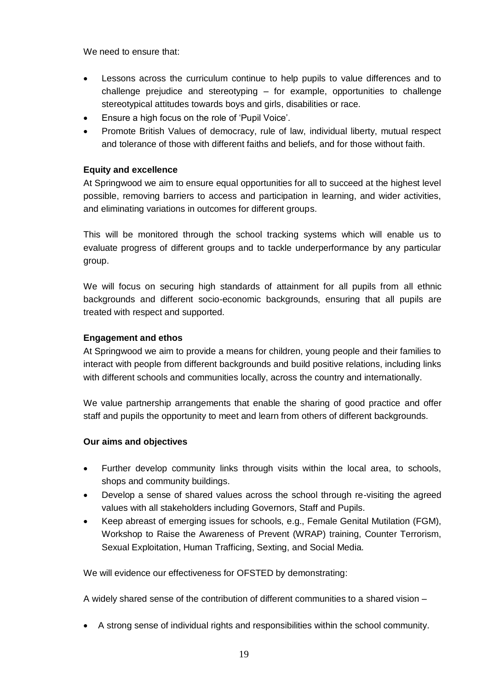We need to ensure that:

- Lessons across the curriculum continue to help pupils to value differences and to challenge prejudice and stereotyping – for example, opportunities to challenge stereotypical attitudes towards boys and girls, disabilities or race.
- Ensure a high focus on the role of 'Pupil Voice'.
- Promote British Values of democracy, rule of law, individual liberty, mutual respect and tolerance of those with different faiths and beliefs, and for those without faith.

## **Equity and excellence**

At Springwood we aim to ensure equal opportunities for all to succeed at the highest level possible, removing barriers to access and participation in learning, and wider activities, and eliminating variations in outcomes for different groups.

This will be monitored through the school tracking systems which will enable us to evaluate progress of different groups and to tackle underperformance by any particular group.

We will focus on securing high standards of attainment for all pupils from all ethnic backgrounds and different socio-economic backgrounds, ensuring that all pupils are treated with respect and supported.

#### **Engagement and ethos**

At Springwood we aim to provide a means for children, young people and their families to interact with people from different backgrounds and build positive relations, including links with different schools and communities locally, across the country and internationally.

We value partnership arrangements that enable the sharing of good practice and offer staff and pupils the opportunity to meet and learn from others of different backgrounds.

#### **Our aims and objectives**

- Further develop community links through visits within the local area, to schools, shops and community buildings.
- Develop a sense of shared values across the school through re-visiting the agreed values with all stakeholders including Governors, Staff and Pupils.
- Keep abreast of emerging issues for schools, e.g., Female Genital Mutilation (FGM), Workshop to Raise the Awareness of Prevent (WRAP) training, Counter Terrorism, Sexual Exploitation, Human Trafficing, Sexting, and Social Media.

We will evidence our effectiveness for OFSTED by demonstrating:

A widely shared sense of the contribution of different communities to a shared vision –

A strong sense of individual rights and responsibilities within the school community.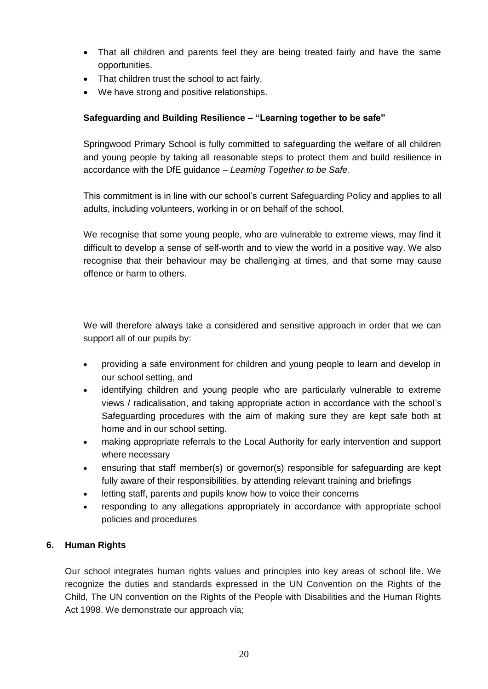- That all children and parents feel they are being treated fairly and have the same opportunities.
- That children trust the school to act fairly.
- We have strong and positive relationships.

## **Safeguarding and Building Resilience – "Learning together to be safe"**

Springwood Primary School is fully committed to safeguarding the welfare of all children and young people by taking all reasonable steps to protect them and build resilience in accordance with the DfE guidance – *Learning Together to be Safe*.

This commitment is in line with our school's current Safeguarding Policy and applies to all adults, including volunteers, working in or on behalf of the school.

We recognise that some young people, who are vulnerable to extreme views, may find it difficult to develop a sense of self-worth and to view the world in a positive way. We also recognise that their behaviour may be challenging at times, and that some may cause offence or harm to others.

We will therefore always take a considered and sensitive approach in order that we can support all of our pupils by:

- providing a safe environment for children and young people to learn and develop in our school setting, and
- identifying children and young people who are particularly vulnerable to extreme views / radicalisation, and taking appropriate action in accordance with the school's Safeguarding procedures with the aim of making sure they are kept safe both at home and in our school setting.
- making appropriate referrals to the Local Authority for early intervention and support where necessary
- ensuring that staff member(s) or governor(s) responsible for safeguarding are kept fully aware of their responsibilities, by attending relevant training and briefings
- letting staff, parents and pupils know how to voice their concerns
- responding to any allegations appropriately in accordance with appropriate school policies and procedures

#### **6. Human Rights**

Our school integrates human rights values and principles into key areas of school life. We recognize the duties and standards expressed in the UN Convention on the Rights of the Child, The UN convention on the Rights of the People with Disabilities and the Human Rights Act 1998. We demonstrate our approach via;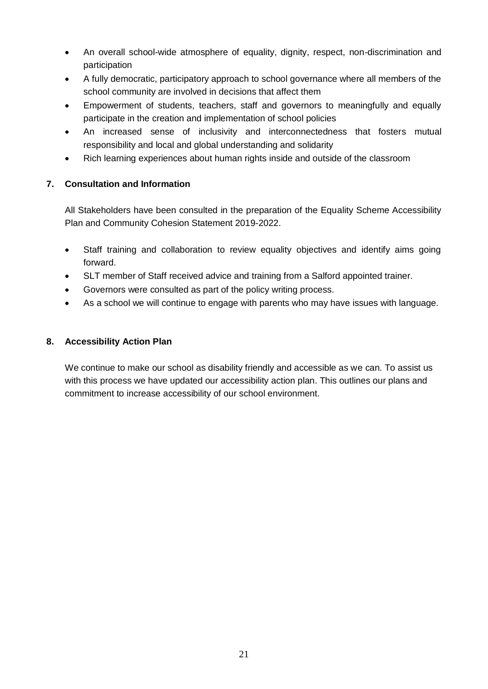- An overall school-wide atmosphere of equality, dignity, respect, non-discrimination and participation
- A fully democratic, participatory approach to school governance where all members of the school community are involved in decisions that affect them
- Empowerment of students, teachers, staff and governors to meaningfully and equally participate in the creation and implementation of school policies
- An increased sense of inclusivity and interconnectedness that fosters mutual responsibility and local and global understanding and solidarity
- Rich learning experiences about human rights inside and outside of the classroom

## **7. Consultation and Information**

All Stakeholders have been consulted in the preparation of the Equality Scheme Accessibility Plan and Community Cohesion Statement 2019-2022.

- Staff training and collaboration to review equality objectives and identify aims going forward.
- SLT member of Staff received advice and training from a Salford appointed trainer.
- Governors were consulted as part of the policy writing process.
- As a school we will continue to engage with parents who may have issues with language.

## **8. Accessibility Action Plan**

We continue to make our school as disability friendly and accessible as we can. To assist us with this process we have updated our accessibility action plan. This outlines our plans and commitment to increase accessibility of our school environment.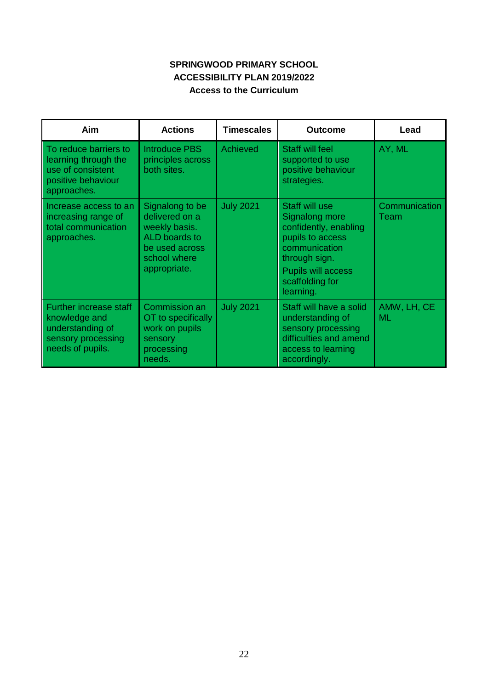## **SPRINGWOOD PRIMARY SCHOOL ACCESSIBILITY PLAN 2019/2022 Access to the Curriculum**

| Aim                                                                                                          | <b>Actions</b>                                                                                                        | <b>Timescales</b> | <b>Outcome</b>                                                                                                                                                        | Lead                     |
|--------------------------------------------------------------------------------------------------------------|-----------------------------------------------------------------------------------------------------------------------|-------------------|-----------------------------------------------------------------------------------------------------------------------------------------------------------------------|--------------------------|
| To reduce barriers to<br>learning through the<br>use of consistent<br>positive behaviour<br>approaches.      | <b>Introduce PBS</b><br>principles across<br>both sites.                                                              | Achieved          | <b>Staff will feel</b><br>supported to use<br>positive behaviour<br>strategies.                                                                                       | AY, ML                   |
| Increase access to an<br>increasing range of<br>total communication<br>approaches.                           | Signalong to be<br>delivered on a<br>weekly basis.<br>ALD boards to<br>be used across<br>school where<br>appropriate. | <b>July 2021</b>  | Staff will use<br>Signalong more<br>confidently, enabling<br>pupils to access<br>communication<br>through sign.<br>Pupils will access<br>scaffolding for<br>learning. | Communication<br>Team    |
| <b>Further increase staff</b><br>knowledge and<br>understanding of<br>sensory processing<br>needs of pupils. | Commission an<br>OT to specifically<br>work on pupils<br>sensory<br>processing<br>needs.                              | <b>July 2021</b>  | Staff will have a solid<br>understanding of<br>sensory processing<br>difficulties and amend<br>access to learning<br>accordingly.                                     | AMW, LH, CE<br><b>ML</b> |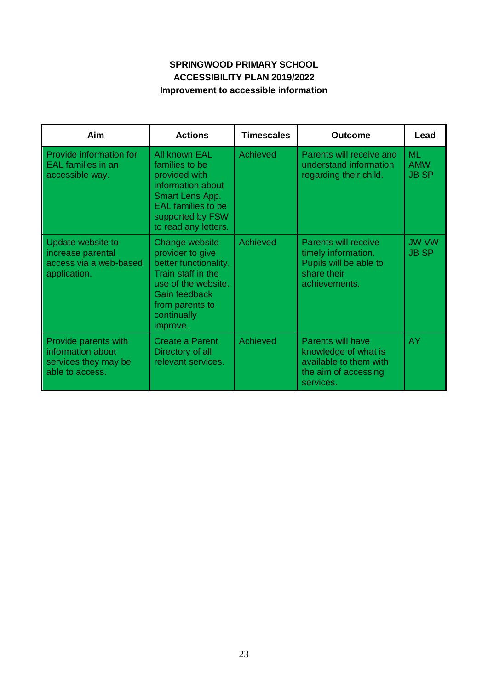## **SPRINGWOOD PRIMARY SCHOOL ACCESSIBILITY PLAN 2019/2022 Improvement to accessible information**

| Aim                                                                                  | <b>Actions</b>                                                                                                                                                          | <b>Timescales</b> | Outcome                                                                                                         | Lead                                    |
|--------------------------------------------------------------------------------------|-------------------------------------------------------------------------------------------------------------------------------------------------------------------------|-------------------|-----------------------------------------------------------------------------------------------------------------|-----------------------------------------|
| Provide information for<br><b>EAL</b> families in an<br>accessible way.              | All known EAL<br>families to be<br>provided with<br>information about<br>Smart Lens App.<br><b>EAL</b> families to be<br>supported by FSW<br>to read any letters.       | Achieved          | Parents will receive and<br>understand information<br>regarding their child.                                    | <b>ML</b><br><b>AMW</b><br><b>JB SP</b> |
| Update website to<br>increase parental<br>access via a web-based<br>application.     | Change website<br>provider to give<br>better functionality.<br>Train staff in the<br>use of the website.<br>Gain feedback<br>from parents to<br>continually<br>improve. | <b>Achieved</b>   | <b>Parents will receive</b><br>timely information.<br>Pupils will be able to<br>share their<br>achievements.    | <b>JW VW</b><br><b>JB SP</b>            |
| Provide parents with<br>information about<br>services they may be<br>able to access. | Create a Parent<br>Directory of all<br>relevant services.                                                                                                               | <b>Achieved</b>   | <b>Parents will have</b><br>knowledge of what is<br>available to them with<br>the aim of accessing<br>services. | AY.                                     |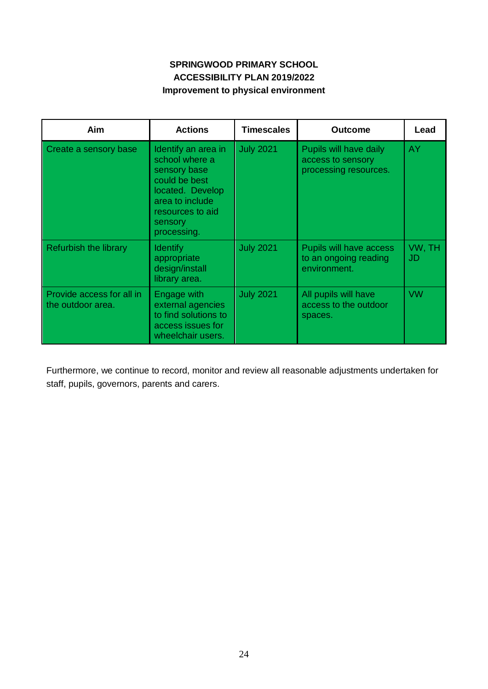## **SPRINGWOOD PRIMARY SCHOOL ACCESSIBILITY PLAN 2019/2022 Improvement to physical environment**

| Aim                                            | <b>Actions</b>                                                                                                                                              | <b>Timescales</b> | <b>Outcome</b>                                                       | Lead                |
|------------------------------------------------|-------------------------------------------------------------------------------------------------------------------------------------------------------------|-------------------|----------------------------------------------------------------------|---------------------|
| Create a sensory base                          | Identify an area in<br>school where a<br>sensory base<br>could be best<br>located. Develop<br>area to include<br>resources to aid<br>sensory<br>processing. | <b>July 2021</b>  | Pupils will have daily<br>access to sensory<br>processing resources. | AY.                 |
| <b>Refurbish the library</b>                   | <b>Identify</b><br>appropriate<br>design/install<br>library area.                                                                                           | <b>July 2021</b>  | Pupils will have access<br>to an ongoing reading<br>environment.     | VW, TH<br><b>JD</b> |
| Provide access for all in<br>the outdoor area. | Engage with<br>external agencies<br>to find solutions to<br>access issues for<br>wheelchair users.                                                          | <b>July 2021</b>  | All pupils will have<br>access to the outdoor<br>spaces.             | <b>VW</b>           |

Furthermore, we continue to record, monitor and review all reasonable adjustments undertaken for staff, pupils, governors, parents and carers.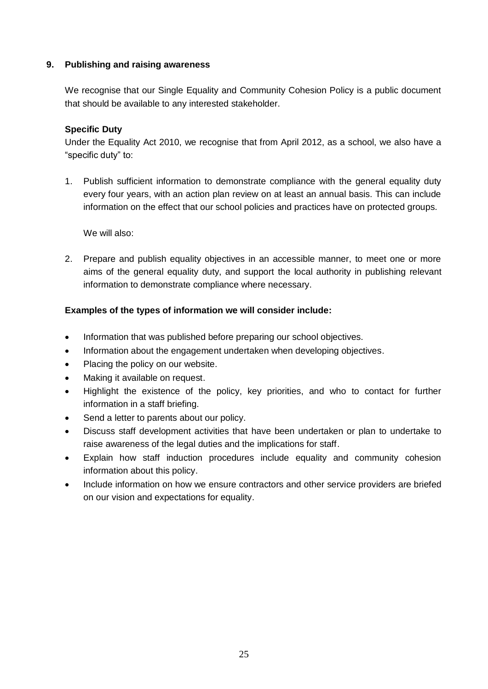#### **9. Publishing and raising awareness**

We recognise that our Single Equality and Community Cohesion Policy is a public document that should be available to any interested stakeholder.

#### **Specific Duty**

Under the Equality Act 2010, we recognise that from April 2012, as a school, we also have a "specific duty" to:

1. Publish sufficient information to demonstrate compliance with the general equality duty every four years, with an action plan review on at least an annual basis. This can include information on the effect that our school policies and practices have on protected groups.

We will also:

2. Prepare and publish equality objectives in an accessible manner, to meet one or more aims of the general equality duty, and support the local authority in publishing relevant information to demonstrate compliance where necessary.

#### **Examples of the types of information we will consider include:**

- Information that was published before preparing our school objectives.
- Information about the engagement undertaken when developing objectives.
- Placing the policy on our website.
- Making it available on request.
- Highlight the existence of the policy, key priorities, and who to contact for further information in a staff briefing.
- Send a letter to parents about our policy.
- Discuss staff development activities that have been undertaken or plan to undertake to raise awareness of the legal duties and the implications for staff.
- Explain how staff induction procedures include equality and community cohesion information about this policy.
- Include information on how we ensure contractors and other service providers are briefed on our vision and expectations for equality.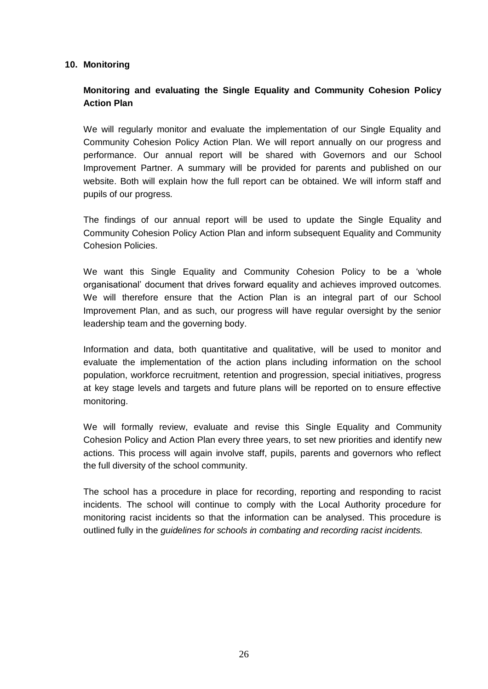#### **10. Monitoring**

## **Monitoring and evaluating the Single Equality and Community Cohesion Policy Action Plan**

We will regularly monitor and evaluate the implementation of our Single Equality and Community Cohesion Policy Action Plan. We will report annually on our progress and performance. Our annual report will be shared with Governors and our School Improvement Partner. A summary will be provided for parents and published on our website. Both will explain how the full report can be obtained. We will inform staff and pupils of our progress.

The findings of our annual report will be used to update the Single Equality and Community Cohesion Policy Action Plan and inform subsequent Equality and Community Cohesion Policies.

We want this Single Equality and Community Cohesion Policy to be a 'whole organisational' document that drives forward equality and achieves improved outcomes. We will therefore ensure that the Action Plan is an integral part of our School Improvement Plan, and as such, our progress will have regular oversight by the senior leadership team and the governing body.

Information and data, both quantitative and qualitative, will be used to monitor and evaluate the implementation of the action plans including information on the school population, workforce recruitment, retention and progression, special initiatives, progress at key stage levels and targets and future plans will be reported on to ensure effective monitoring.

We will formally review, evaluate and revise this Single Equality and Community Cohesion Policy and Action Plan every three years, to set new priorities and identify new actions. This process will again involve staff, pupils, parents and governors who reflect the full diversity of the school community.

The school has a procedure in place for recording, reporting and responding to racist incidents. The school will continue to comply with the Local Authority procedure for monitoring racist incidents so that the information can be analysed. This procedure is outlined fully in the *guidelines for schools in combating and recording racist incidents.*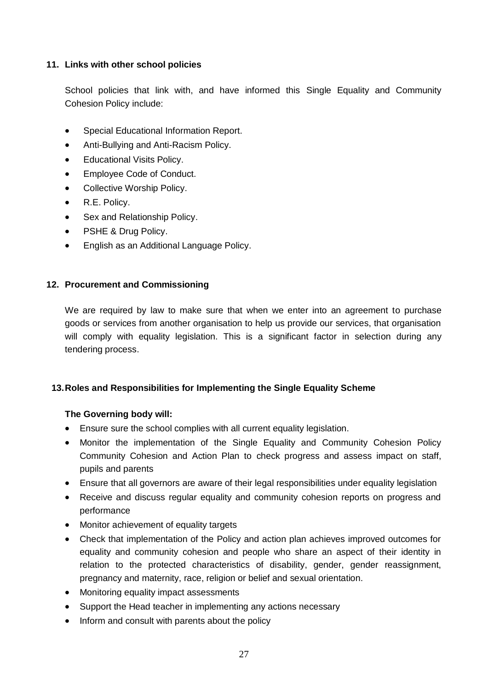#### **11. Links with other school policies**

School policies that link with, and have informed this Single Equality and Community Cohesion Policy include:

- Special Educational Information Report.
- Anti-Bullying and Anti-Racism Policy.
- Educational Visits Policy.
- Employee Code of Conduct.
- Collective Worship Policy.
- R.E. Policy.
- Sex and Relationship Policy.
- PSHE & Drug Policy.
- English as an Additional Language Policy.

#### **12. Procurement and Commissioning**

We are required by law to make sure that when we enter into an agreement to purchase goods or services from another organisation to help us provide our services, that organisation will comply with equality legislation. This is a significant factor in selection during any tendering process.

#### **13.Roles and Responsibilities for Implementing the Single Equality Scheme**

#### **The Governing body will:**

- Ensure sure the school complies with all current equality legislation.
- Monitor the implementation of the Single Equality and Community Cohesion Policy Community Cohesion and Action Plan to check progress and assess impact on staff, pupils and parents
- Ensure that all governors are aware of their legal responsibilities under equality legislation
- Receive and discuss regular equality and community cohesion reports on progress and performance
- Monitor achievement of equality targets
- Check that implementation of the Policy and action plan achieves improved outcomes for equality and community cohesion and people who share an aspect of their identity in relation to the protected characteristics of disability, gender, gender reassignment, pregnancy and maternity, race, religion or belief and sexual orientation.
- Monitoring equality impact assessments
- Support the Head teacher in implementing any actions necessary
- Inform and consult with parents about the policy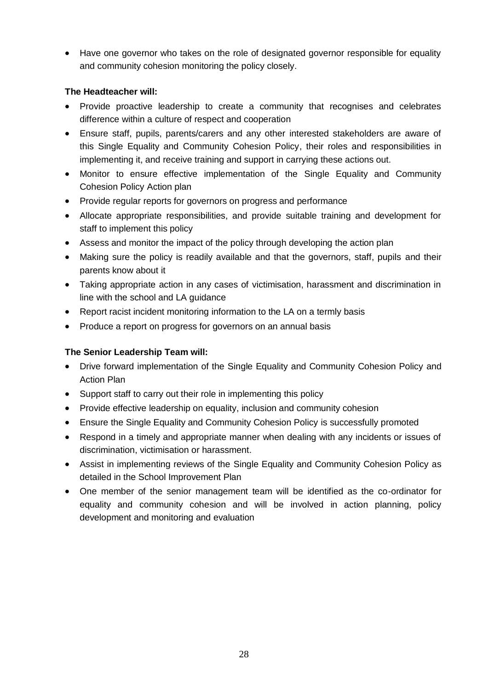• Have one governor who takes on the role of designated governor responsible for equality and community cohesion monitoring the policy closely.

## **The Headteacher will:**

- Provide proactive leadership to create a community that recognises and celebrates difference within a culture of respect and cooperation
- Ensure staff, pupils, parents/carers and any other interested stakeholders are aware of this Single Equality and Community Cohesion Policy, their roles and responsibilities in implementing it, and receive training and support in carrying these actions out.
- Monitor to ensure effective implementation of the Single Equality and Community Cohesion Policy Action plan
- Provide regular reports for governors on progress and performance
- Allocate appropriate responsibilities, and provide suitable training and development for staff to implement this policy
- Assess and monitor the impact of the policy through developing the action plan
- Making sure the policy is readily available and that the governors, staff, pupils and their parents know about it
- Taking appropriate action in any cases of victimisation, harassment and discrimination in line with the school and LA guidance
- Report racist incident monitoring information to the LA on a termly basis
- Produce a report on progress for governors on an annual basis

#### **The Senior Leadership Team will:**

- Drive forward implementation of the Single Equality and Community Cohesion Policy and Action Plan
- Support staff to carry out their role in implementing this policy
- Provide effective leadership on equality, inclusion and community cohesion
- Ensure the Single Equality and Community Cohesion Policy is successfully promoted
- Respond in a timely and appropriate manner when dealing with any incidents or issues of discrimination, victimisation or harassment.
- Assist in implementing reviews of the Single Equality and Community Cohesion Policy as detailed in the School Improvement Plan
- One member of the senior management team will be identified as the co-ordinator for equality and community cohesion and will be involved in action planning, policy development and monitoring and evaluation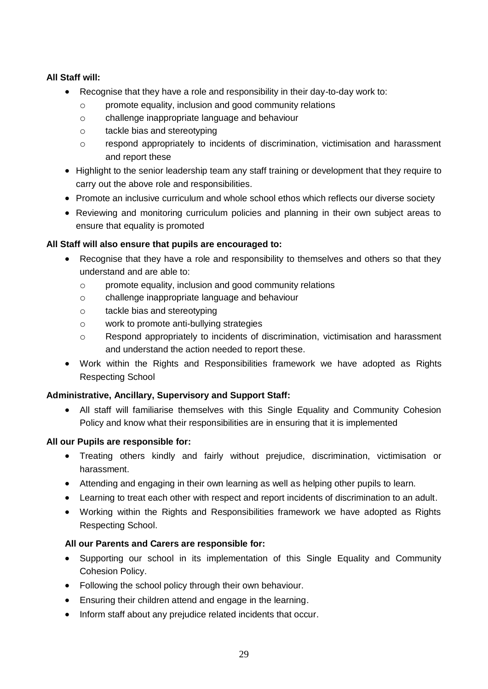## **All Staff will:**

- Recognise that they have a role and responsibility in their day-to-day work to:
	- o promote equality, inclusion and good community relations
	- o challenge inappropriate language and behaviour
	- o tackle bias and stereotyping
	- $\circ$  respond appropriately to incidents of discrimination, victimisation and harassment and report these
- Highlight to the senior leadership team any staff training or development that they require to carry out the above role and responsibilities.
- Promote an inclusive curriculum and whole school ethos which reflects our diverse society
- Reviewing and monitoring curriculum policies and planning in their own subject areas to ensure that equality is promoted

## **All Staff will also ensure that pupils are encouraged to:**

- Recognise that they have a role and responsibility to themselves and others so that they understand and are able to:
	- o promote equality, inclusion and good community relations
	- o challenge inappropriate language and behaviour
	- o tackle bias and stereotyping
	- o work to promote anti-bullying strategies
	- o Respond appropriately to incidents of discrimination, victimisation and harassment and understand the action needed to report these.
- Work within the Rights and Responsibilities framework we have adopted as Rights Respecting School

#### **Administrative, Ancillary, Supervisory and Support Staff:**

 All staff will familiarise themselves with this Single Equality and Community Cohesion Policy and know what their responsibilities are in ensuring that it is implemented

#### **All our Pupils are responsible for:**

- Treating others kindly and fairly without prejudice, discrimination, victimisation or harassment.
- Attending and engaging in their own learning as well as helping other pupils to learn.
- Learning to treat each other with respect and report incidents of discrimination to an adult.
- Working within the Rights and Responsibilities framework we have adopted as Rights Respecting School.

#### **All our Parents and Carers are responsible for:**

- Supporting our school in its implementation of this Single Equality and Community Cohesion Policy.
- Following the school policy through their own behaviour.
- Ensuring their children attend and engage in the learning.
- Inform staff about any prejudice related incidents that occur.